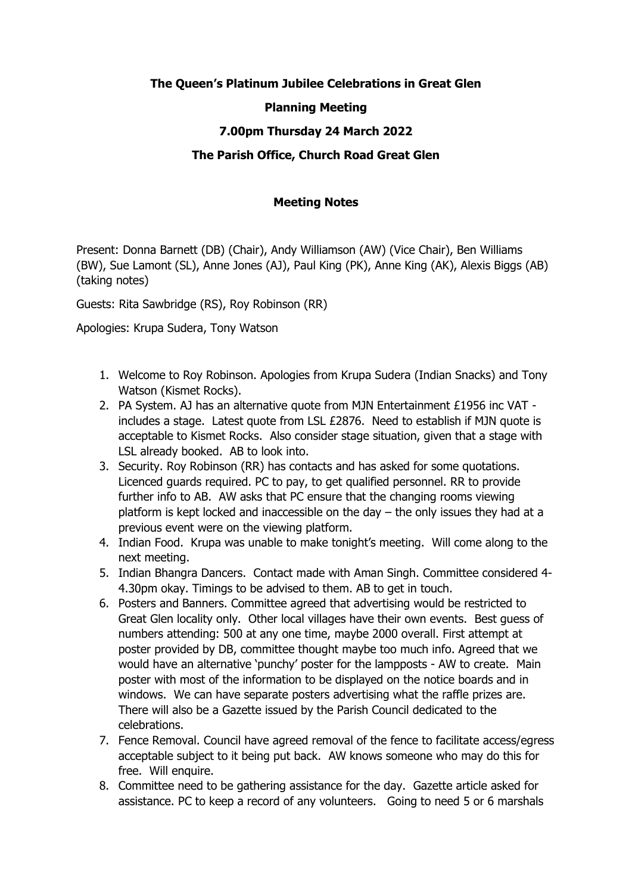# **The Queen's Platinum Jubilee Celebrations in Great Glen**

## **Planning Meeting**

## **7.00pm Thursday 24 March 2022**

#### **The Parish Office, Church Road Great Glen**

#### **Meeting Notes**

Present: Donna Barnett (DB) (Chair), Andy Williamson (AW) (Vice Chair), Ben Williams (BW), Sue Lamont (SL), Anne Jones (AJ), Paul King (PK), Anne King (AK), Alexis Biggs (AB) (taking notes)

Guests: Rita Sawbridge (RS), Roy Robinson (RR)

Apologies: Krupa Sudera, Tony Watson

- 1. Welcome to Roy Robinson. Apologies from Krupa Sudera (Indian Snacks) and Tony Watson (Kismet Rocks).
- 2. PA System. AJ has an alternative quote from MJN Entertainment £1956 inc VAT includes a stage. Latest quote from LSL £2876. Need to establish if MJN quote is acceptable to Kismet Rocks. Also consider stage situation, given that a stage with LSL already booked. AB to look into.
- 3. Security. Roy Robinson (RR) has contacts and has asked for some quotations. Licenced guards required. PC to pay, to get qualified personnel. RR to provide further info to AB. AW asks that PC ensure that the changing rooms viewing platform is kept locked and inaccessible on the day  $-$  the only issues they had at a previous event were on the viewing platform.
- 4. Indian Food. Krupa was unable to make tonight's meeting. Will come along to the next meeting.
- 5. Indian Bhangra Dancers. Contact made with Aman Singh. Committee considered 4- 4.30pm okay. Timings to be advised to them. AB to get in touch.
- 6. Posters and Banners. Committee agreed that advertising would be restricted to Great Glen locality only. Other local villages have their own events. Best guess of numbers attending: 500 at any one time, maybe 2000 overall. First attempt at poster provided by DB, committee thought maybe too much info. Agreed that we would have an alternative 'punchy' poster for the lampposts - AW to create. Main poster with most of the information to be displayed on the notice boards and in windows. We can have separate posters advertising what the raffle prizes are. There will also be a Gazette issued by the Parish Council dedicated to the celebrations.
- 7. Fence Removal. Council have agreed removal of the fence to facilitate access/egress acceptable subject to it being put back. AW knows someone who may do this for free. Will enquire.
- 8. Committee need to be gathering assistance for the day. Gazette article asked for assistance. PC to keep a record of any volunteers. Going to need 5 or 6 marshals